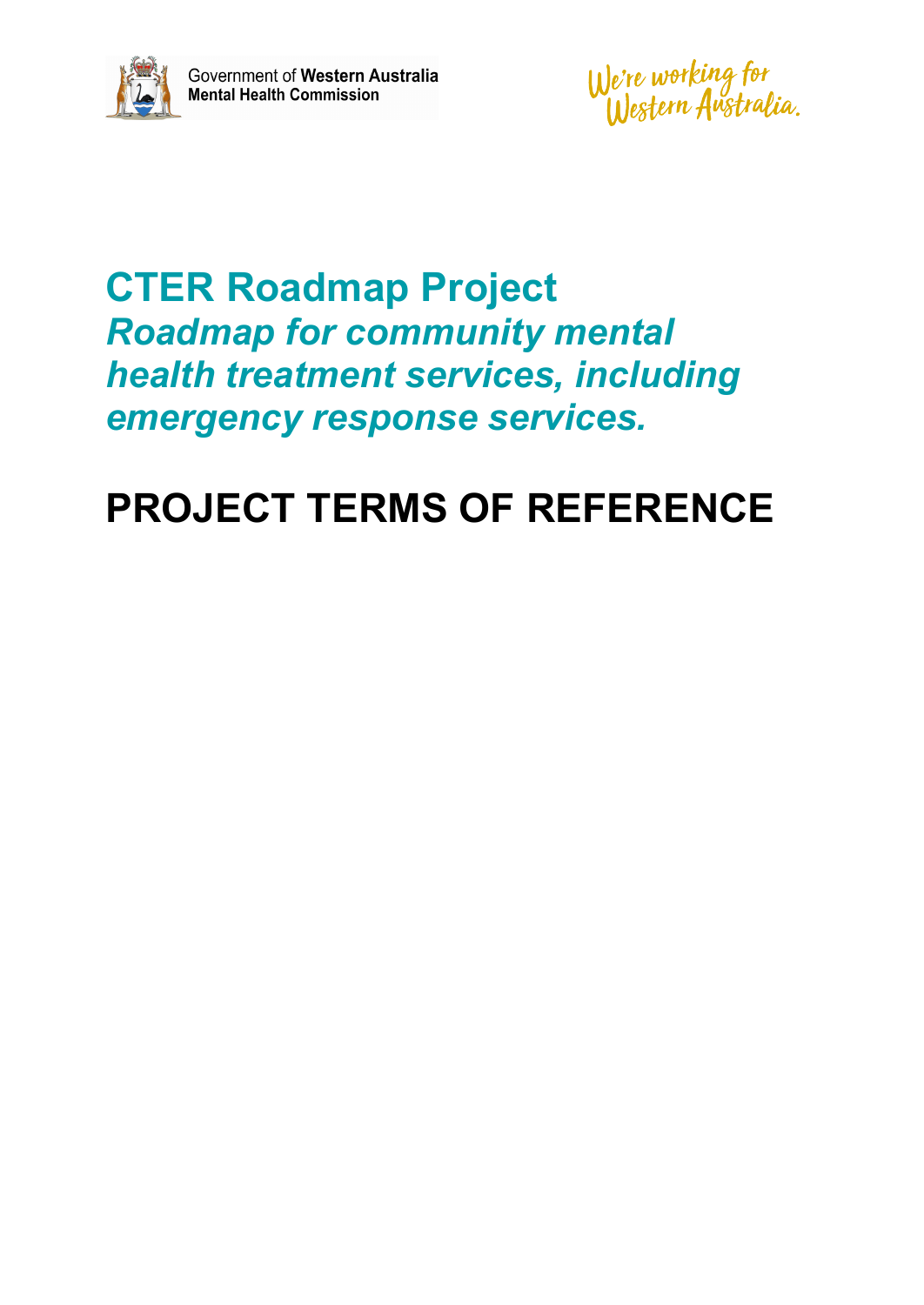

We're working for<br>Western Australia.

# **CTER Roadmap Project** *Roadmap for community mental health treatment services, including emergency response services.*

# **PROJECT TERMS OF REFERENCE**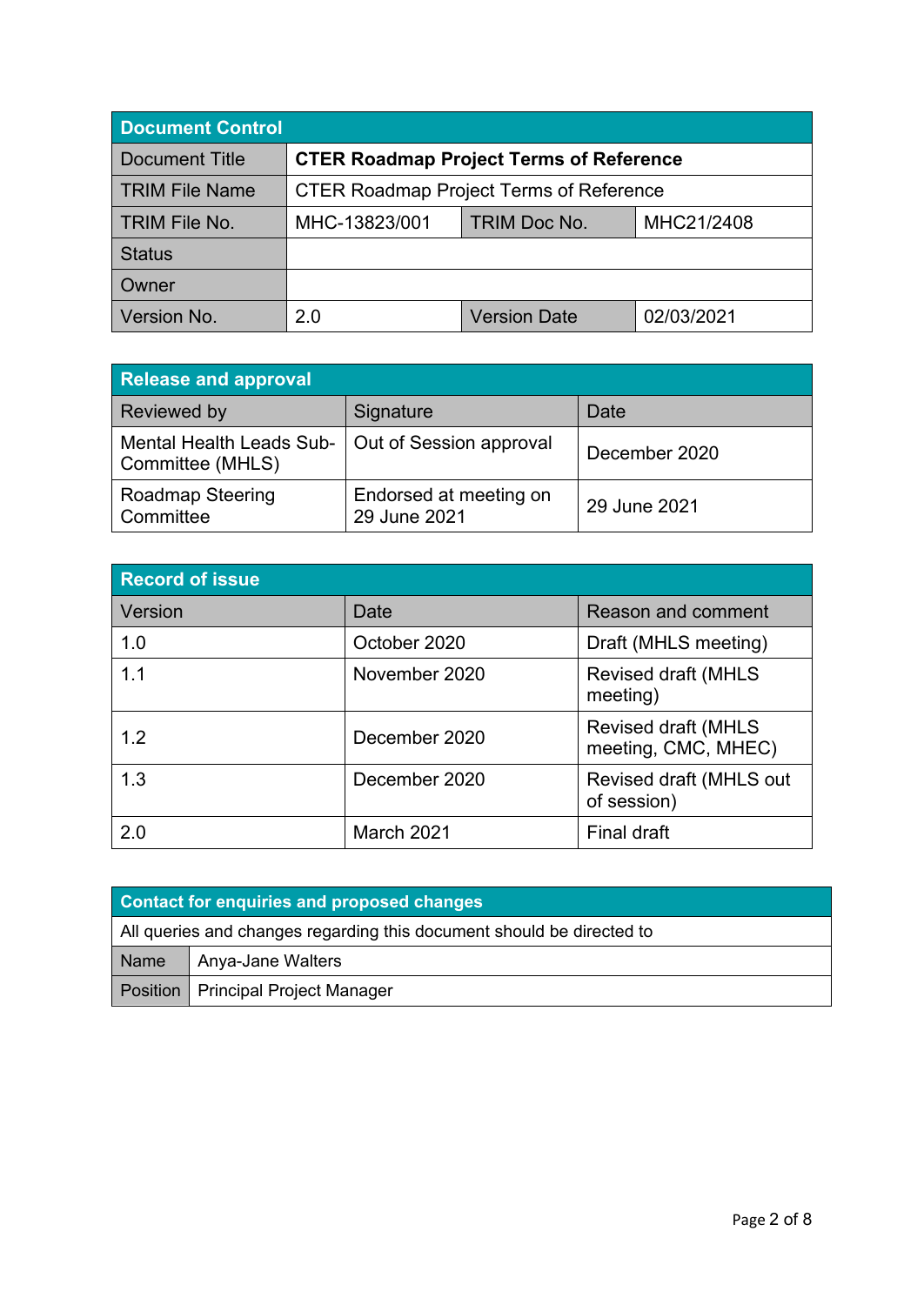| <b>Document Control</b> |                                                |                     |            |  |  |
|-------------------------|------------------------------------------------|---------------------|------------|--|--|
| <b>Document Title</b>   | <b>CTER Roadmap Project Terms of Reference</b> |                     |            |  |  |
| <b>TRIM File Name</b>   | <b>CTER Roadmap Project Terms of Reference</b> |                     |            |  |  |
| TRIM File No.           | MHC-13823/001                                  | <b>TRIM Doc No.</b> | MHC21/2408 |  |  |
| <b>Status</b>           |                                                |                     |            |  |  |
| Owner                   |                                                |                     |            |  |  |
| Version No.             | 2.0                                            | <b>Version Date</b> | 02/03/2021 |  |  |

| <b>Release and approval</b>                  |                                        |               |  |  |
|----------------------------------------------|----------------------------------------|---------------|--|--|
| <b>Reviewed by</b>                           | Signature                              | Date          |  |  |
| Mental Health Leads Sub-<br>Committee (MHLS) | Out of Session approval                | December 2020 |  |  |
| <b>Roadmap Steering</b><br>Committee         | Endorsed at meeting on<br>29 June 2021 | 29 June 2021  |  |  |

| Record of issue |               |                                                   |  |  |
|-----------------|---------------|---------------------------------------------------|--|--|
| <b>Version</b>  | Date          | Reason and comment                                |  |  |
| 1.0             | October 2020  | Draft (MHLS meeting)                              |  |  |
| 1.1             | November 2020 | <b>Revised draft (MHLS</b><br>meeting)            |  |  |
| 1.2             | December 2020 | <b>Revised draft (MHLS</b><br>meeting, CMC, MHEC) |  |  |
| 1.3             | December 2020 | Revised draft (MHLS out<br>of session)            |  |  |
| 2.0             | March 2021    | <b>Final draft</b>                                |  |  |

| <b>Contact for enquiries and proposed changes</b>                     |                                      |  |
|-----------------------------------------------------------------------|--------------------------------------|--|
| All queries and changes regarding this document should be directed to |                                      |  |
| Name                                                                  | <b>Anya-Jane Walters</b>             |  |
|                                                                       | Position   Principal Project Manager |  |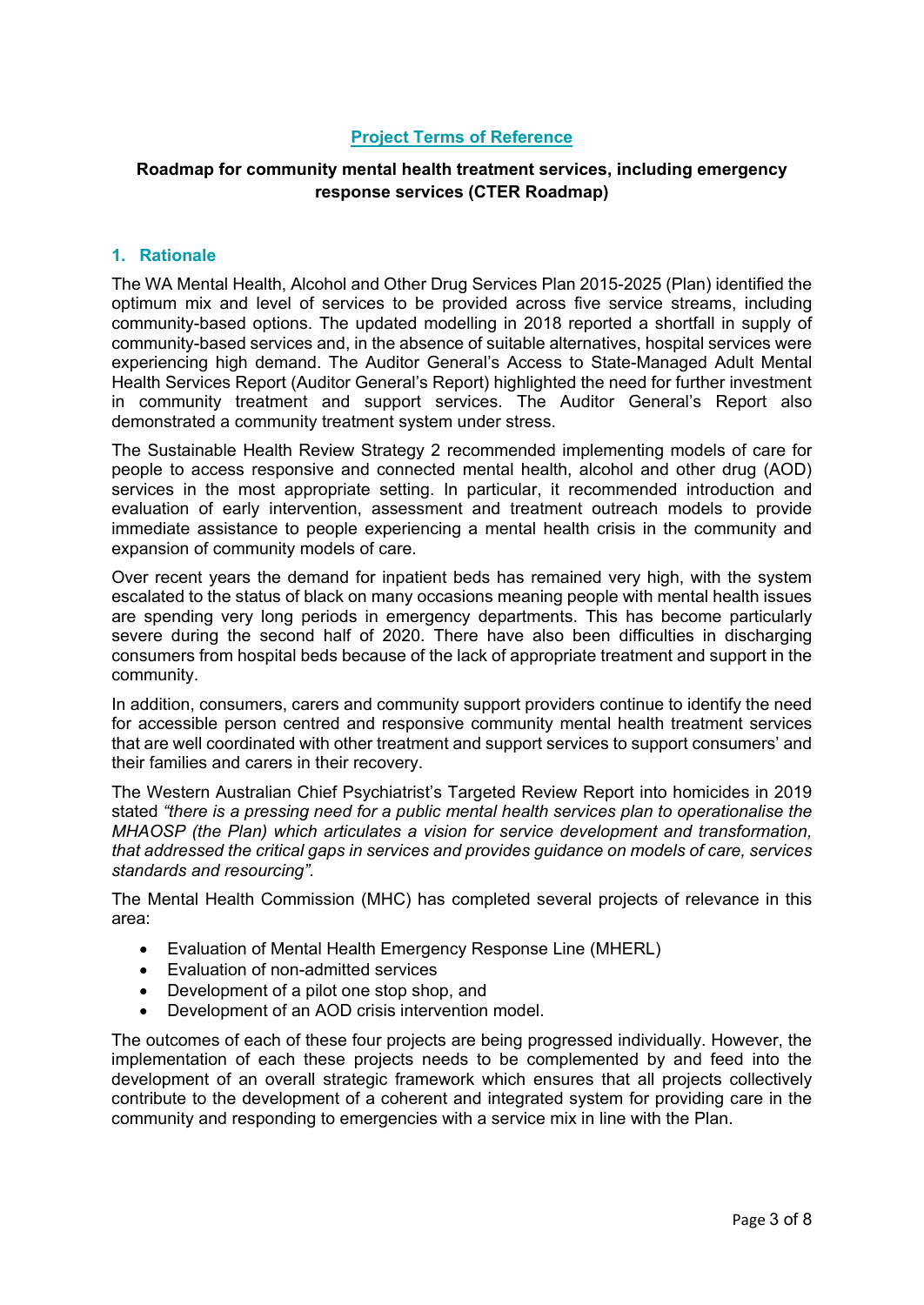#### **Project Terms of Reference**

# **Roadmap for community mental health treatment services, including emergency response services (CTER Roadmap)**

#### **1. Rationale**

The WA Mental Health, Alcohol and Other Drug Services Plan 2015-2025 (Plan) identified the optimum mix and level of services to be provided across five service streams, including community-based options. The updated modelling in 2018 reported a shortfall in supply of community-based services and, in the absence of suitable alternatives, hospital services were experiencing high demand. The Auditor General's Access to State-Managed Adult Mental Health Services Report (Auditor General's Report) highlighted the need for further investment in community treatment and support services. The Auditor General's Report also demonstrated a community treatment system under stress.

The Sustainable Health Review Strategy 2 recommended implementing models of care for people to access responsive and connected mental health, alcohol and other drug (AOD) services in the most appropriate setting. In particular, it recommended introduction and evaluation of early intervention, assessment and treatment outreach models to provide immediate assistance to people experiencing a mental health crisis in the community and expansion of community models of care.

Over recent years the demand for inpatient beds has remained very high, with the system escalated to the status of black on many occasions meaning people with mental health issues are spending very long periods in emergency departments. This has become particularly severe during the second half of 2020. There have also been difficulties in discharging consumers from hospital beds because of the lack of appropriate treatment and support in the community.

In addition, consumers, carers and community support providers continue to identify the need for accessible person centred and responsive community mental health treatment services that are well coordinated with other treatment and support services to support consumers' and their families and carers in their recovery.

The Western Australian Chief Psychiatrist's Targeted Review Report into homicides in 2019 stated *"there is a pressing need for a public mental health services plan to operationalise the MHAOSP (the Plan) which articulates a vision for service development and transformation, that addressed the critical gaps in services and provides guidance on models of care, services standards and resourcing".*

The Mental Health Commission (MHC) has completed several projects of relevance in this area:

- Evaluation of Mental Health Emergency Response Line (MHERL)
- Evaluation of non-admitted services
- Development of a pilot one stop shop, and
- Development of an AOD crisis intervention model.

The outcomes of each of these four projects are being progressed individually. However, the implementation of each these projects needs to be complemented by and feed into the development of an overall strategic framework which ensures that all projects collectively contribute to the development of a coherent and integrated system for providing care in the community and responding to emergencies with a service mix in line with the Plan.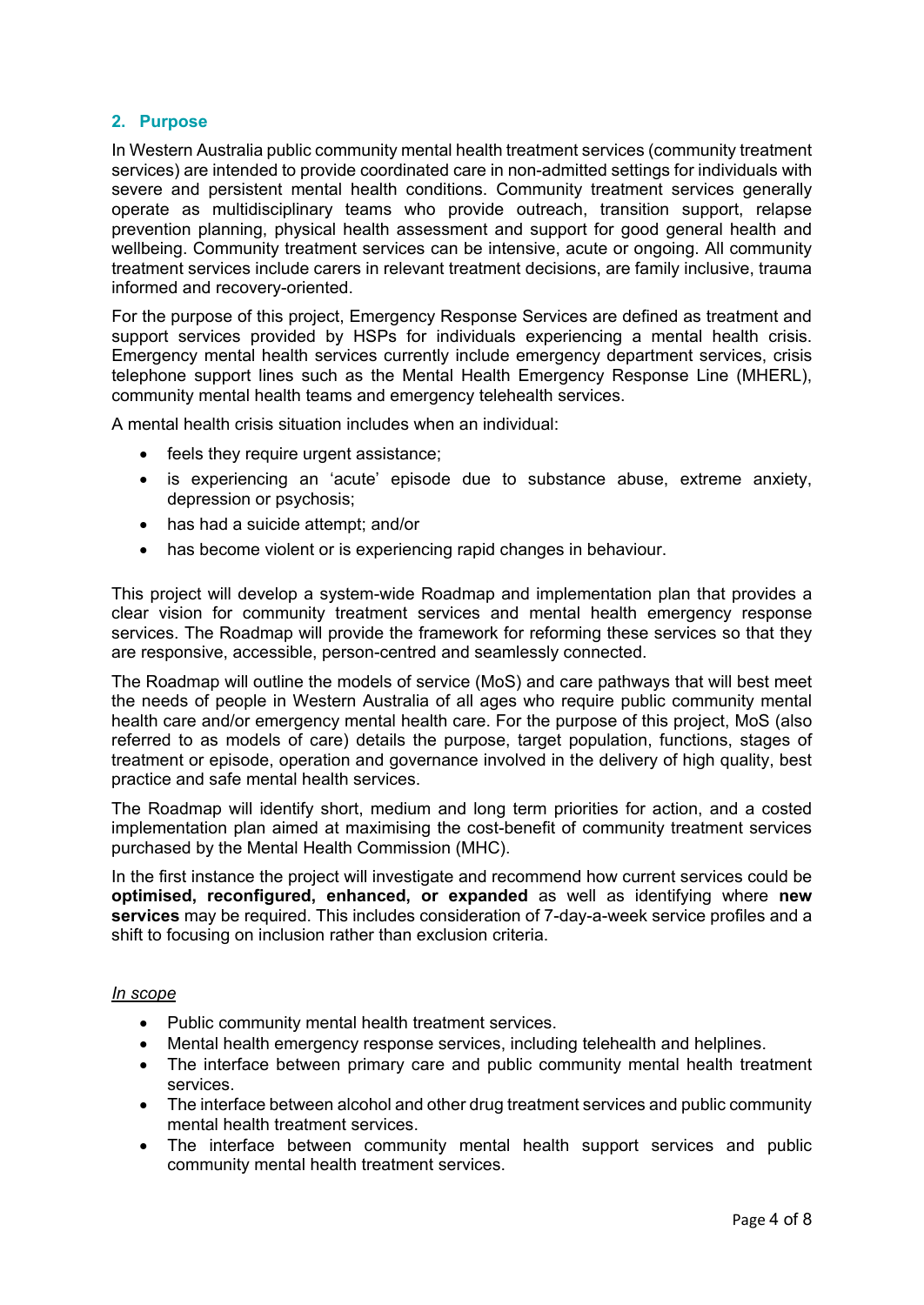# **2. Purpose**

In Western Australia public community mental health treatment services (community treatment services) are intended to provide coordinated care in non-admitted settings for individuals with severe and persistent mental health conditions. Community treatment services generally operate as multidisciplinary teams who provide outreach, transition support, relapse prevention planning, physical health assessment and support for good general health and wellbeing. Community treatment services can be intensive, acute or ongoing. All community treatment services include carers in relevant treatment decisions, are family inclusive, trauma informed and recovery-oriented.

For the purpose of this project, Emergency Response Services are defined as treatment and support services provided by HSPs for individuals experiencing a mental health crisis. Emergency mental health services currently include emergency department services, crisis telephone support lines such as the Mental Health Emergency Response Line (MHERL), community mental health teams and emergency telehealth services.

A mental health crisis situation includes when an individual:

- feels they require urgent assistance;
- is experiencing an 'acute' episode due to substance abuse, extreme anxiety, depression or psychosis;
- has had a suicide attempt: and/or
- has become violent or is experiencing rapid changes in behaviour.

This project will develop a system-wide Roadmap and implementation plan that provides a clear vision for community treatment services and mental health emergency response services. The Roadmap will provide the framework for reforming these services so that they are responsive, accessible, person-centred and seamlessly connected.

The Roadmap will outline the models of service (MoS) and care pathways that will best meet the needs of people in Western Australia of all ages who require public community mental health care and/or emergency mental health care. For the purpose of this project, MoS (also referred to as models of care) details the purpose, target population, functions, stages of treatment or episode, operation and governance involved in the delivery of high quality, best practice and safe mental health services.

The Roadmap will identify short, medium and long term priorities for action, and a costed implementation plan aimed at maximising the cost-benefit of community treatment services purchased by the Mental Health Commission (MHC).

In the first instance the project will investigate and recommend how current services could be **optimised, reconfigured, enhanced, or expanded** as well as identifying where **new services** may be required. This includes consideration of 7-day-a-week service profiles and a shift to focusing on inclusion rather than exclusion criteria.

#### *In scope*

- Public community mental health treatment services.
- Mental health emergency response services, including telehealth and helplines.
- The interface between primary care and public community mental health treatment services.
- The interface between alcohol and other drug treatment services and public community mental health treatment services.
- The interface between community mental health support services and public community mental health treatment services.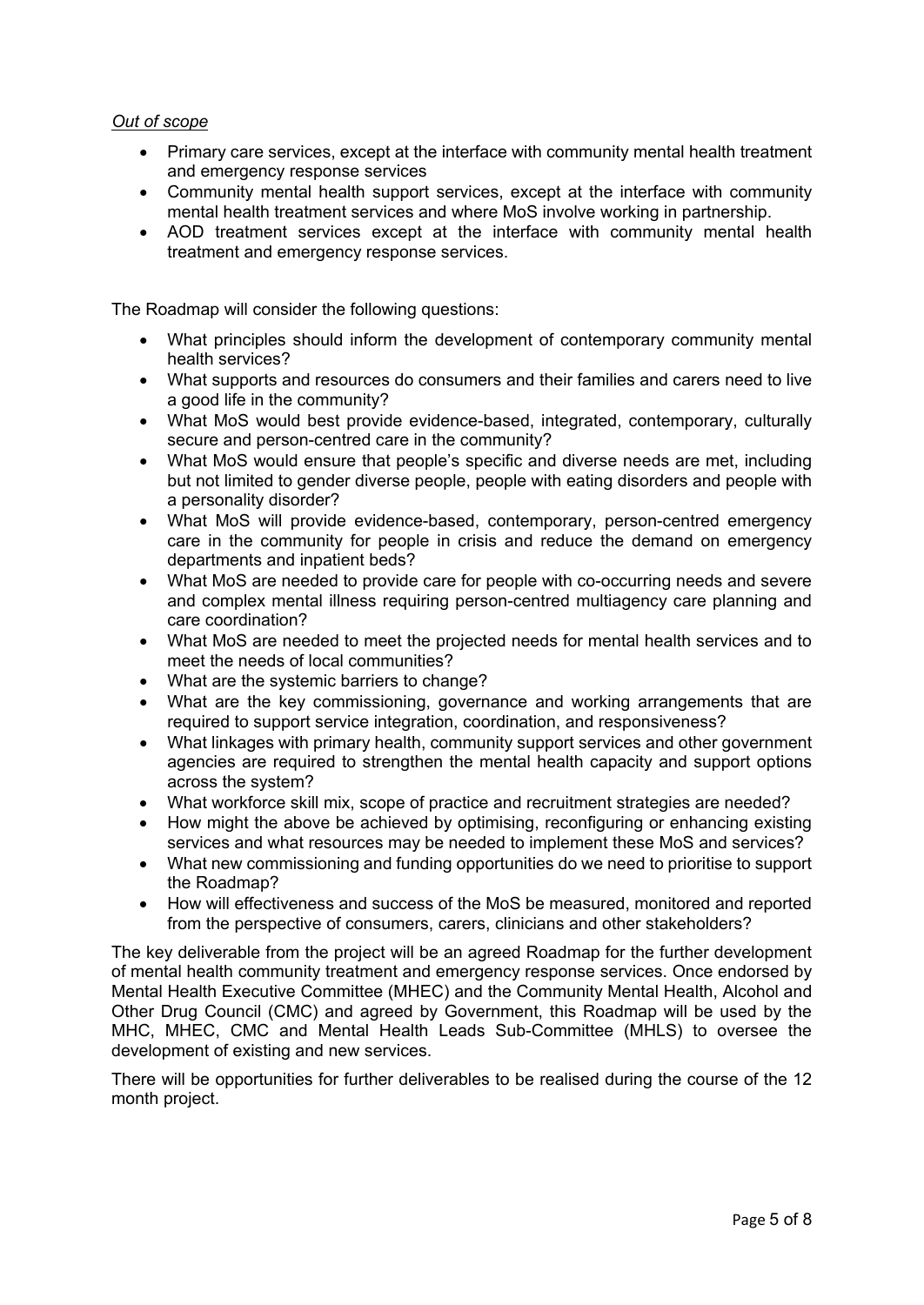#### *Out of scope*

- Primary care services, except at the interface with community mental health treatment and emergency response services
- Community mental health support services, except at the interface with community mental health treatment services and where MoS involve working in partnership.
- AOD treatment services except at the interface with community mental health treatment and emergency response services.

The Roadmap will consider the following questions:

- What principles should inform the development of contemporary community mental health services?
- What supports and resources do consumers and their families and carers need to live a good life in the community?
- What MoS would best provide evidence-based, integrated, contemporary, culturally secure and person-centred care in the community?
- What MoS would ensure that people's specific and diverse needs are met, including but not limited to gender diverse people, people with eating disorders and people with a personality disorder?
- What MoS will provide evidence-based, contemporary, person-centred emergency care in the community for people in crisis and reduce the demand on emergency departments and inpatient beds?
- What MoS are needed to provide care for people with co-occurring needs and severe and complex mental illness requiring person-centred multiagency care planning and care coordination?
- What MoS are needed to meet the projected needs for mental health services and to meet the needs of local communities?
- What are the systemic barriers to change?
- What are the key commissioning, governance and working arrangements that are required to support service integration, coordination, and responsiveness?
- What linkages with primary health, community support services and other government agencies are required to strengthen the mental health capacity and support options across the system?
- What workforce skill mix, scope of practice and recruitment strategies are needed?
- How might the above be achieved by optimising, reconfiguring or enhancing existing services and what resources may be needed to implement these MoS and services?
- What new commissioning and funding opportunities do we need to prioritise to support the Roadmap?
- How will effectiveness and success of the MoS be measured, monitored and reported from the perspective of consumers, carers, clinicians and other stakeholders?

The key deliverable from the project will be an agreed Roadmap for the further development of mental health community treatment and emergency response services. Once endorsed by Mental Health Executive Committee (MHEC) and the Community Mental Health, Alcohol and Other Drug Council (CMC) and agreed by Government, this Roadmap will be used by the MHC, MHEC, CMC and Mental Health Leads Sub-Committee (MHLS) to oversee the development of existing and new services.

There will be opportunities for further deliverables to be realised during the course of the 12 month project.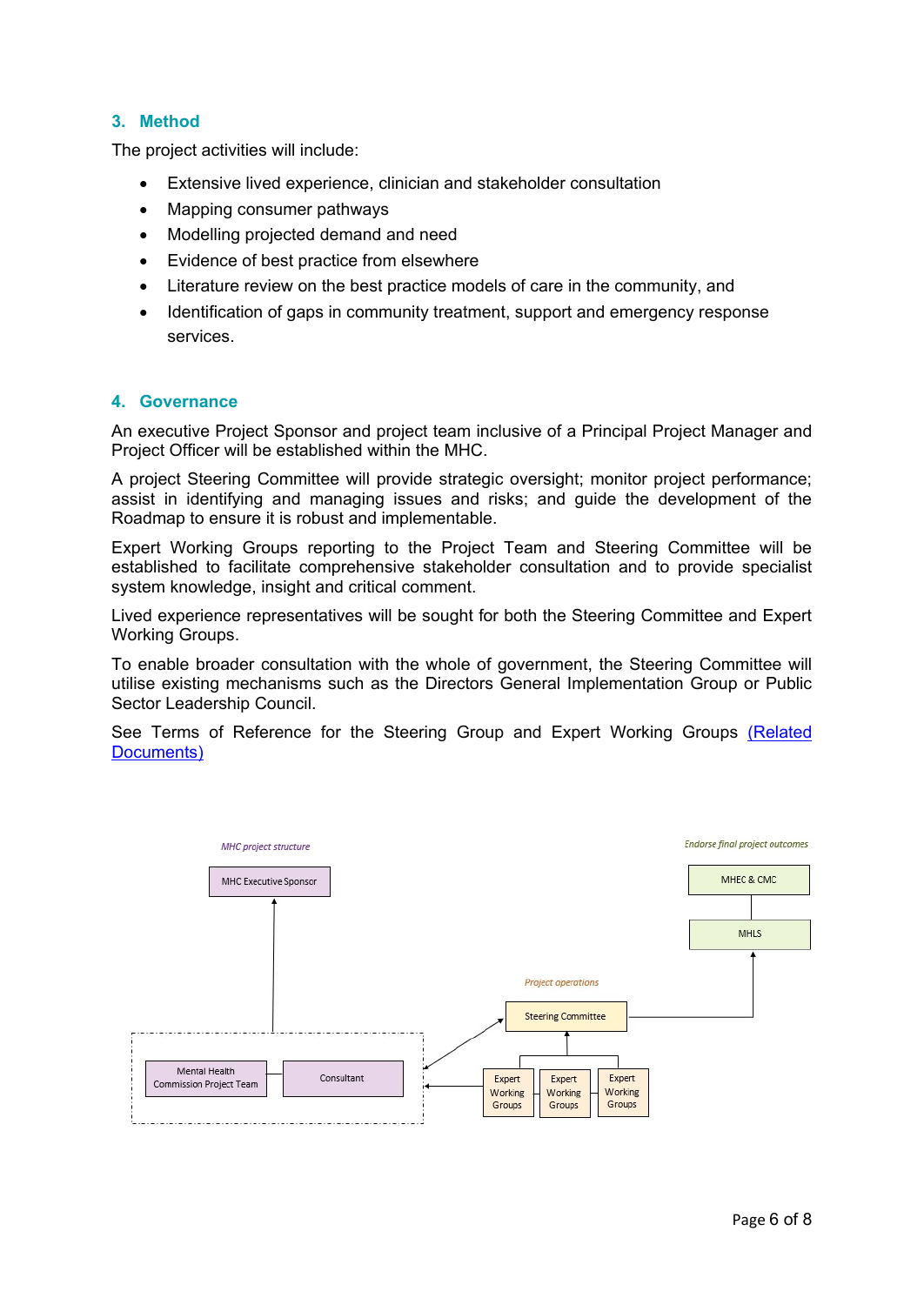# **3. Method**

The project activities will include:

- Extensive lived experience, clinician and stakeholder consultation
- Mapping consumer pathways
- Modelling projected demand and need
- Evidence of best practice from elsewhere
- Literature review on the best practice models of care in the community, and
- Identification of gaps in community treatment, support and emergency response services.

#### **4. Governance**

An executive Project Sponsor and project team inclusive of a Principal Project Manager and Project Officer will be established within the MHC.

A project Steering Committee will provide strategic oversight; monitor project performance; assist in identifying and managing issues and risks; and guide the development of the Roadmap to ensure it is robust and implementable.

Expert Working Groups reporting to the Project Team and Steering Committee will be established to facilitate comprehensive stakeholder consultation and to provide specialist system knowledge, insight and critical comment.

Lived experience representatives will be sought for both the Steering Committee and Expert Working Groups.

To enable broader consultation with the whole of government, the Steering Committee will utilise existing mechanisms such as the Directors General Implementation Group or Public Sector Leadership Council.

See Terms of Reference for the Steering Group and Expert Working Groups [\(Related](#page-7-0)  [Documents\)](#page-7-0)

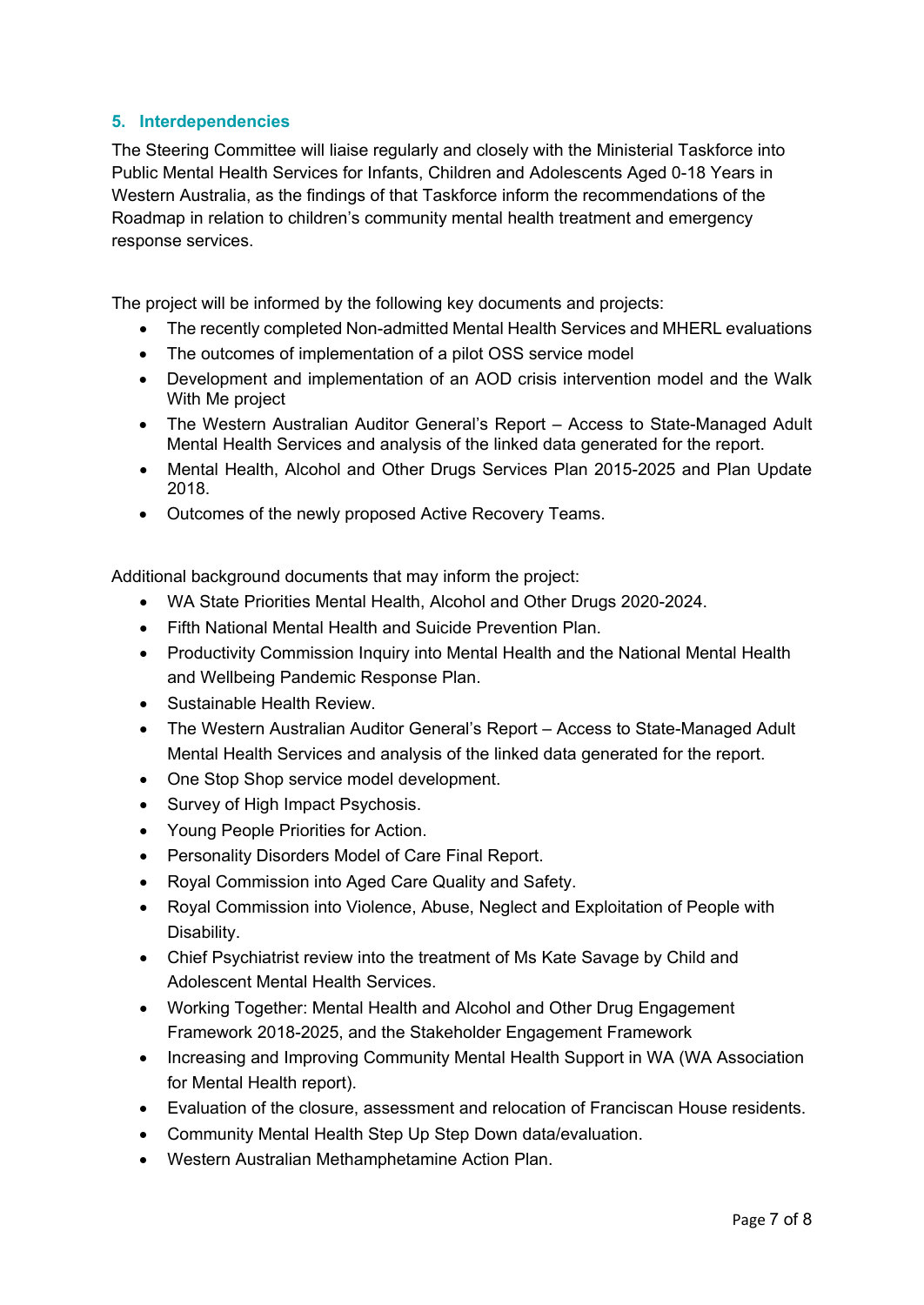# **5. Interdependencies**

The Steering Committee will liaise regularly and closely with the Ministerial Taskforce into Public Mental Health Services for Infants, Children and Adolescents Aged 0-18 Years in Western Australia, as the findings of that Taskforce inform the recommendations of the Roadmap in relation to children's community mental health treatment and emergency response services.

The project will be informed by the following key documents and projects:

- The recently completed Non-admitted Mental Health Services and MHERL evaluations
- The outcomes of implementation of a pilot OSS service model
- Development and implementation of an AOD crisis intervention model and the Walk With Me project
- The Western Australian Auditor General's Report Access to State-Managed Adult Mental Health Services and analysis of the linked data generated for the report.
- Mental Health, Alcohol and Other Drugs Services Plan 2015-2025 and Plan Update 2018.
- Outcomes of the newly proposed Active Recovery Teams.

Additional background documents that may inform the project:

- WA State Priorities Mental Health, Alcohol and Other Drugs 2020-2024.
- Fifth National Mental Health and Suicide Prevention Plan.
- Productivity Commission Inquiry into Mental Health and the National Mental Health and Wellbeing Pandemic Response Plan.
- Sustainable Health Review.
- The Western Australian Auditor General's Report Access to State-Managed Adult Mental Health Services and analysis of the linked data generated for the report.
- One Stop Shop service model development.
- Survey of High Impact Psychosis.
- Young People Priorities for Action.
- Personality Disorders Model of Care Final Report.
- Royal Commission into Aged Care Quality and Safety.
- Royal Commission into Violence, Abuse, Neglect and Exploitation of People with Disability.
- Chief Psychiatrist review into the treatment of Ms Kate Savage by Child and Adolescent Mental Health Services.
- Working Together: Mental Health and Alcohol and Other Drug Engagement Framework 2018-2025, and the Stakeholder Engagement Framework
- Increasing and Improving Community Mental Health Support in WA (WA Association for Mental Health report).
- Evaluation of the closure, assessment and relocation of Franciscan House residents.
- Community Mental Health Step Up Step Down data/evaluation.
- Western Australian Methamphetamine Action Plan.